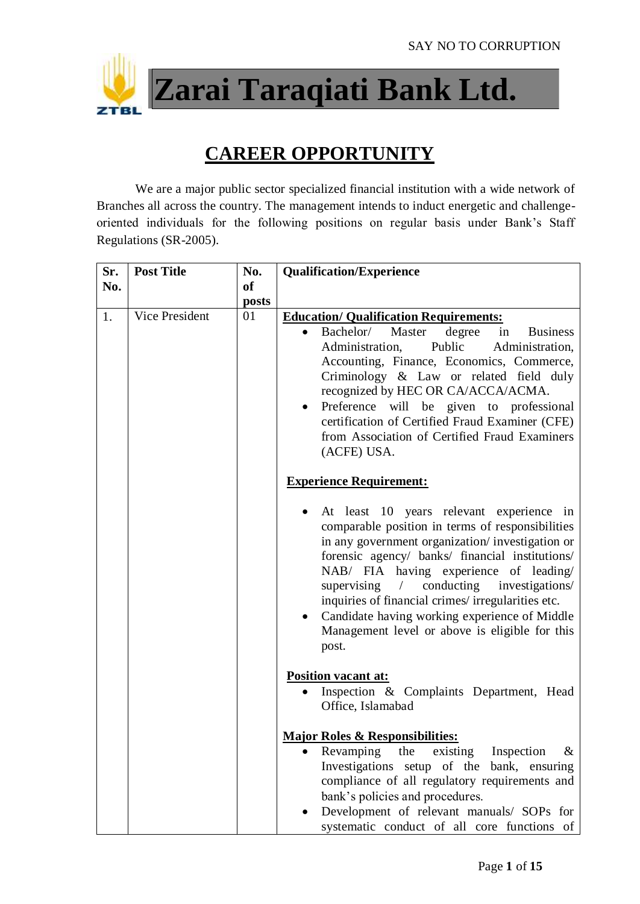

**Zarai Taraqiati Bank Ltd.**

## **CAREER OPPORTUNITY**

We are a major public sector specialized financial institution with a wide network of Branches all across the country. The management intends to induct energetic and challengeoriented individuals for the following positions on regular basis under Bank's Staff Regulations (SR-2005).

| Sr. | <b>Post Title</b>     | No.       | <b>Qualification/Experience</b>                                                                                                                                                                                                                                                                                                                                                                                                                                                                       |
|-----|-----------------------|-----------|-------------------------------------------------------------------------------------------------------------------------------------------------------------------------------------------------------------------------------------------------------------------------------------------------------------------------------------------------------------------------------------------------------------------------------------------------------------------------------------------------------|
| No. |                       | <b>of</b> |                                                                                                                                                                                                                                                                                                                                                                                                                                                                                                       |
|     |                       | posts     |                                                                                                                                                                                                                                                                                                                                                                                                                                                                                                       |
| 1.  | <b>Vice President</b> | 01        | <b>Education/ Qualification Requirements:</b><br>Bachelor/<br>Master<br>degree<br><b>Business</b><br>in<br>Administration,<br>Public<br>Administration,<br>Accounting, Finance, Economics, Commerce,<br>Criminology & Law or related field duly<br>recognized by HEC OR CA/ACCA/ACMA.<br>will be given to professional<br>Preference<br>$\bullet$<br>certification of Certified Fraud Examiner (CFE)<br>from Association of Certified Fraud Examiners<br>(ACFE) USA.                                  |
|     |                       |           | <b>Experience Requirement:</b>                                                                                                                                                                                                                                                                                                                                                                                                                                                                        |
|     |                       |           | At least 10 years relevant experience in<br>$\bullet$<br>comparable position in terms of responsibilities<br>in any government organization/investigation or<br>forensic agency/ banks/ financial institutions/<br>NAB/ FIA having experience of leading/<br>conducting<br>supervising<br>$\sqrt{2}$<br>investigations/<br>inquiries of financial crimes/irregularities etc.<br>Candidate having working experience of Middle<br>$\bullet$<br>Management level or above is eligible for this<br>post. |
|     |                       |           | <b>Position vacant at:</b>                                                                                                                                                                                                                                                                                                                                                                                                                                                                            |
|     |                       |           | Inspection & Complaints Department, Head<br>Office, Islamabad                                                                                                                                                                                                                                                                                                                                                                                                                                         |
|     |                       |           | <b>Major Roles &amp; Responsibilities:</b>                                                                                                                                                                                                                                                                                                                                                                                                                                                            |
|     |                       |           | Inspection<br>Revamping<br>the<br>existing<br>&<br>Investigations setup of the bank, ensuring<br>compliance of all regulatory requirements and<br>bank's policies and procedures.<br>Development of relevant manuals/ SOPs for                                                                                                                                                                                                                                                                        |
|     |                       |           | systematic conduct of all core functions of                                                                                                                                                                                                                                                                                                                                                                                                                                                           |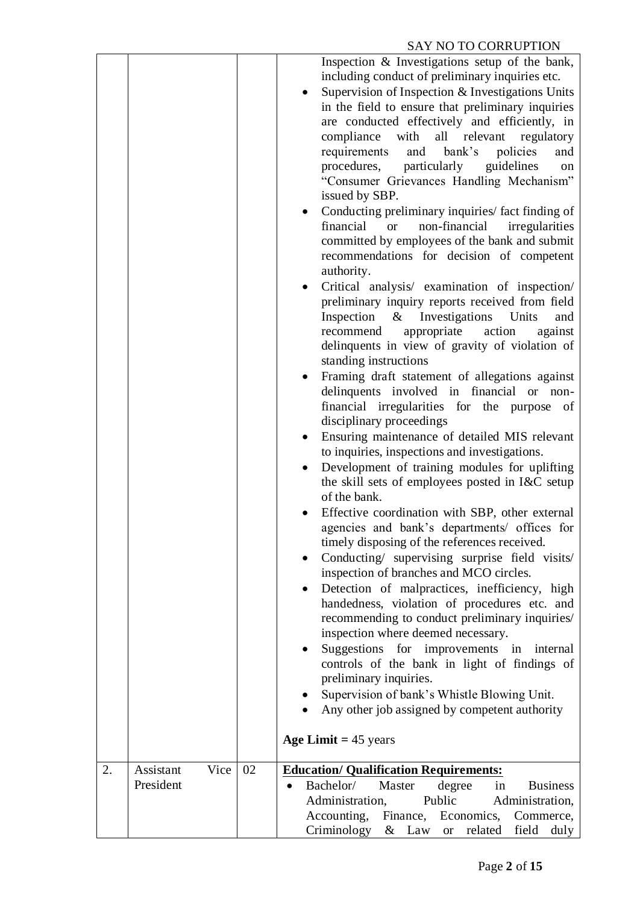## SAY NO TO CORRUPTION

|    |                                |    | Inspection & Investigations setup of the bank,<br>including conduct of preliminary inquiries etc.<br>Supervision of Inspection & Investigations Units<br>in the field to ensure that preliminary inquiries<br>are conducted effectively and efficiently, in<br>compliance with<br>all relevant<br>regulatory<br>bank's<br>requirements<br>policies<br>and<br>and<br>particularly<br>guidelines<br>procedures,<br>on<br>"Consumer Grievances Handling Mechanism"<br>issued by SBP.<br>Conducting preliminary inquiries/ fact finding of<br>financial<br>non-financial<br>irregularities<br><b>or</b><br>committed by employees of the bank and submit<br>recommendations for decision of competent<br>authority.<br>Critical analysis/ examination of inspection/<br>preliminary inquiry reports received from field<br>& Investigations Units<br>Inspection<br>and<br>appropriate<br>action<br>against<br>recommend<br>delinquents in view of gravity of violation of<br>standing instructions<br>Framing draft statement of allegations against<br>delinquents involved in financial<br>or non-<br>financial irregularities for the purpose of<br>disciplinary proceedings<br>Ensuring maintenance of detailed MIS relevant<br>$\bullet$<br>to inquiries, inspections and investigations.<br>Development of training modules for uplifting<br>the skill sets of employees posted in I&C setup<br>of the bank.<br>Effective coordination with SBP, other external<br>agencies and bank's departments/ offices for<br>timely disposing of the references received.<br>Conducting/ supervising surprise field visits/<br>$\bullet$<br>inspection of branches and MCO circles.<br>Detection of malpractices, inefficiency, high<br>handedness, violation of procedures etc. and<br>recommending to conduct preliminary inquiries/<br>inspection where deemed necessary.<br>Suggestions for improvements in<br>internal<br>controls of the bank in light of findings of<br>preliminary inquiries.<br>Supervision of bank's Whistle Blowing Unit.<br>Any other job assigned by competent authority<br>Age Limit $= 45$ years |
|----|--------------------------------|----|-------------------------------------------------------------------------------------------------------------------------------------------------------------------------------------------------------------------------------------------------------------------------------------------------------------------------------------------------------------------------------------------------------------------------------------------------------------------------------------------------------------------------------------------------------------------------------------------------------------------------------------------------------------------------------------------------------------------------------------------------------------------------------------------------------------------------------------------------------------------------------------------------------------------------------------------------------------------------------------------------------------------------------------------------------------------------------------------------------------------------------------------------------------------------------------------------------------------------------------------------------------------------------------------------------------------------------------------------------------------------------------------------------------------------------------------------------------------------------------------------------------------------------------------------------------------------------------------------------------------------------------------------------------------------------------------------------------------------------------------------------------------------------------------------------------------------------------------------------------------------------------------------------------------------------------------------------------------------------------------------------------------------------------------------------------------------------------------------------------------------|
| 2. | Assistant<br>Vice<br>President | 02 | <b>Education/ Qualification Requirements:</b><br>Bachelor/<br>Master<br>degree<br><b>Business</b><br>in<br>Administration,<br>Public<br>Administration,<br>Accounting, Finance, Economics,<br>Commerce,<br>Criminology<br>& Law or related<br>field duly                                                                                                                                                                                                                                                                                                                                                                                                                                                                                                                                                                                                                                                                                                                                                                                                                                                                                                                                                                                                                                                                                                                                                                                                                                                                                                                                                                                                                                                                                                                                                                                                                                                                                                                                                                                                                                                                |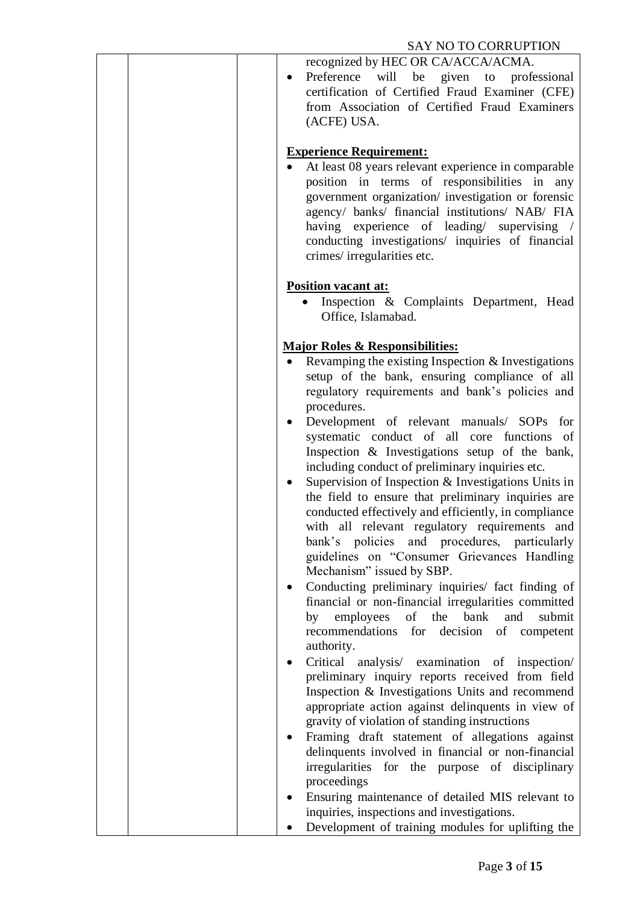| recognized by HEC OR CA/ACCA/ACMA.<br>will be given to<br>Preference<br>professional<br>$\bullet$<br>certification of Certified Fraud Examiner (CFE)<br>from Association of Certified Fraud Examiners<br>(ACFE) USA.                                                                                                                                                                                                                                                                                                                                                                                                                                                                                                                                                                                                                                                                              |
|---------------------------------------------------------------------------------------------------------------------------------------------------------------------------------------------------------------------------------------------------------------------------------------------------------------------------------------------------------------------------------------------------------------------------------------------------------------------------------------------------------------------------------------------------------------------------------------------------------------------------------------------------------------------------------------------------------------------------------------------------------------------------------------------------------------------------------------------------------------------------------------------------|
| <b>Experience Requirement:</b><br>At least 08 years relevant experience in comparable<br>position in terms of responsibilities in any<br>government organization/ investigation or forensic<br>agency/ banks/ financial institutions/ NAB/ FIA<br>having experience of leading/ supervising /<br>conducting investigations/ inquiries of financial<br>crimes/irregularities etc.                                                                                                                                                                                                                                                                                                                                                                                                                                                                                                                  |
| <b>Position vacant at:</b><br>Inspection & Complaints Department, Head<br>Office, Islamabad.                                                                                                                                                                                                                                                                                                                                                                                                                                                                                                                                                                                                                                                                                                                                                                                                      |
| <b>Major Roles &amp; Responsibilities:</b><br>Revamping the existing Inspection $&$ Investigations<br>setup of the bank, ensuring compliance of all<br>regulatory requirements and bank's policies and<br>procedures.<br>Development of relevant manuals/ SOPs for<br>$\bullet$<br>systematic conduct of all core functions of<br>Inspection & Investigations setup of the bank,<br>including conduct of preliminary inquiries etc.<br>Supervision of Inspection & Investigations Units in<br>the field to ensure that preliminary inquiries are<br>conducted effectively and efficiently, in compliance<br>with all relevant regulatory requirements and<br>bank's policies and procedures, particularly<br>guidelines on "Consumer Grievances Handling<br>Mechanism" issued by SBP.<br>Conducting preliminary inquiries/ fact finding of<br>financial or non-financial irregularities committed |
| employees of the bank<br>and<br>submit<br>by<br>recommendations<br>for decision<br>of competent<br>authority.<br>Critical analysis/ examination of inspection/<br>preliminary inquiry reports received from field<br>Inspection & Investigations Units and recommend<br>appropriate action against delinquents in view of<br>gravity of violation of standing instructions                                                                                                                                                                                                                                                                                                                                                                                                                                                                                                                        |
| Framing draft statement of allegations against<br>delinquents involved in financial or non-financial<br>irregularities for the purpose of disciplinary<br>proceedings<br>Ensuring maintenance of detailed MIS relevant to<br>inquiries, inspections and investigations.<br>Development of training modules for uplifting the                                                                                                                                                                                                                                                                                                                                                                                                                                                                                                                                                                      |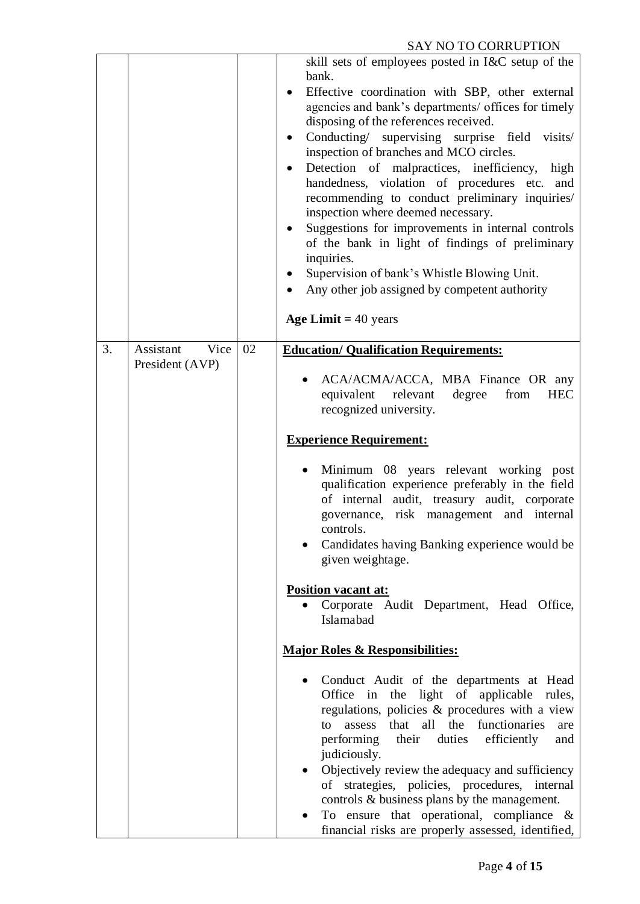|    |                                      |    | skill sets of employees posted in I&C setup of the<br>bank.<br>Effective coordination with SBP, other external<br>agencies and bank's departments/ offices for timely<br>disposing of the references received.<br>Conducting/ supervising surprise field<br>visits/<br>inspection of branches and MCO circles.<br>Detection of malpractices, inefficiency, high<br>handedness, violation of procedures etc.<br>and<br>recommending to conduct preliminary inquiries/<br>inspection where deemed necessary.<br>Suggestions for improvements in internal controls<br>٠<br>of the bank in light of findings of preliminary<br>inquiries.<br>Supervision of bank's Whistle Blowing Unit.<br>Any other job assigned by competent authority<br>Age Limit $=$ 40 years |
|----|--------------------------------------|----|-----------------------------------------------------------------------------------------------------------------------------------------------------------------------------------------------------------------------------------------------------------------------------------------------------------------------------------------------------------------------------------------------------------------------------------------------------------------------------------------------------------------------------------------------------------------------------------------------------------------------------------------------------------------------------------------------------------------------------------------------------------------|
| 3. | Assistant<br>Vice<br>President (AVP) | 02 | <b>Education/ Qualification Requirements:</b><br>ACA/ACMA/ACCA, MBA Finance OR any<br>equivalent<br>relevant<br>degree<br>from<br><b>HEC</b><br>recognized university.<br><b>Experience Requirement:</b><br>Minimum 08 years relevant working post<br>qualification experience preferably in the field<br>of internal audit, treasury audit, corporate<br>governance, risk management and internal<br>controls.<br>Candidates having Banking experience would be<br>given weightage.<br>Position vacant at:<br>Corporate Audit Department, Head Office,<br>Islamabad                                                                                                                                                                                            |
|    |                                      |    | <b>Major Roles &amp; Responsibilities:</b><br>Conduct Audit of the departments at Head<br>Office in the light of applicable rules,<br>regulations, policies & procedures with a view<br>that all<br>the<br>functionaries<br>assess<br>to<br>are<br>performing their<br>duties<br>efficiently<br>and<br>judiciously.<br>Objectively review the adequacy and sufficiency<br>of strategies, policies, procedures, internal<br>controls & business plans by the management.<br>To ensure that operational, compliance $\&$<br>financial risks are properly assessed, identified,                                                                                                                                                                                    |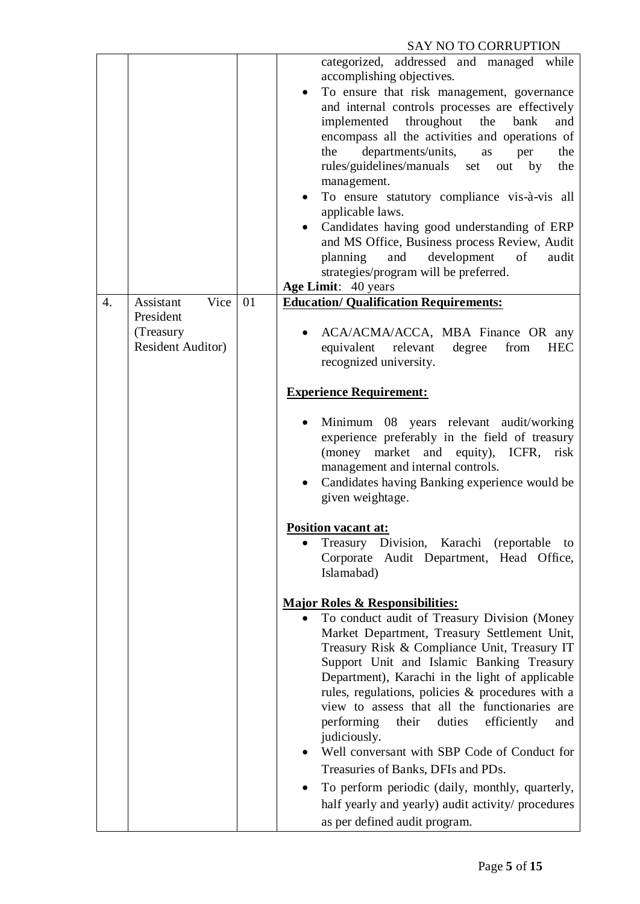|    |                                                                         | categorized, addressed and managed while<br>accomplishing objectives.<br>To ensure that risk management, governance<br>and internal controls processes are effectively<br>implemented throughout<br>the<br>bank<br>and<br>encompass all the activities and operations of<br>departments/units,<br>the<br>as<br>the<br>per<br>rules/guidelines/manuals<br>the<br>set<br>out by<br>management.<br>To ensure statutory compliance vis-à-vis all<br>applicable laws.<br>Candidates having good understanding of ERP<br>$\bullet$<br>and MS Office, Business process Review, Audit<br>development<br>planning<br>and<br>of<br>audit<br>strategies/program will be preferred.                                                                                                      |
|----|-------------------------------------------------------------------------|------------------------------------------------------------------------------------------------------------------------------------------------------------------------------------------------------------------------------------------------------------------------------------------------------------------------------------------------------------------------------------------------------------------------------------------------------------------------------------------------------------------------------------------------------------------------------------------------------------------------------------------------------------------------------------------------------------------------------------------------------------------------------|
|    |                                                                         | Age Limit: 40 years                                                                                                                                                                                                                                                                                                                                                                                                                                                                                                                                                                                                                                                                                                                                                          |
| 4. | Vice<br>Assistant<br>President<br>(Treasury<br><b>Resident Auditor)</b> | 01<br><b>Education/ Qualification Requirements:</b><br>ACA/ACMA/ACCA, MBA Finance OR any<br>relevant<br>equivalent<br>degree<br>from<br><b>HEC</b><br>recognized university.<br><b>Experience Requirement:</b><br>Minimum 08 years relevant audit/working<br>experience preferably in the field of treasury<br>(money market and equity), ICFR, risk<br>management and internal controls.<br>Candidates having Banking experience would be<br>given weightage.<br><b>Position vacant at:</b><br>Division, Karachi<br>(reportable)<br>to<br>$\bullet$                                                                                                                                                                                                                         |
|    |                                                                         | Treasury<br>Corporate Audit Department, Head Office,<br>Islamabad)<br><b>Major Roles &amp; Responsibilities:</b><br>To conduct audit of Treasury Division (Money<br>Market Department, Treasury Settlement Unit,<br>Treasury Risk & Compliance Unit, Treasury IT<br>Support Unit and Islamic Banking Treasury<br>Department), Karachi in the light of applicable<br>rules, regulations, policies & procedures with a<br>view to assess that all the functionaries are<br>performing<br>duties<br>efficiently<br>their<br>and<br>judiciously.<br>Well conversant with SBP Code of Conduct for<br>Treasuries of Banks, DFIs and PDs.<br>To perform periodic (daily, monthly, quarterly,<br>half yearly and yearly) audit activity/ procedures<br>as per defined audit program. |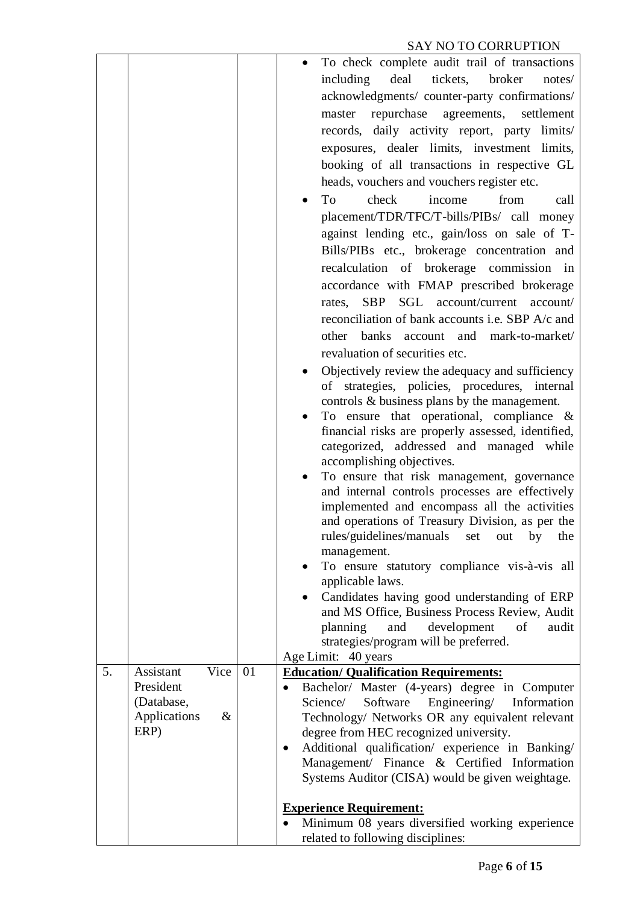|    |                                |    | To check complete audit trail of transactions                                                                  |
|----|--------------------------------|----|----------------------------------------------------------------------------------------------------------------|
|    |                                |    | including<br>deal<br>tickets,<br>broker<br>notes/                                                              |
|    |                                |    | acknowledgments/ counter-party confirmations/                                                                  |
|    |                                |    | repurchase agreements,<br>master<br>settlement                                                                 |
|    |                                |    | records, daily activity report, party limits/                                                                  |
|    |                                |    | exposures, dealer limits, investment limits,                                                                   |
|    |                                |    | booking of all transactions in respective GL                                                                   |
|    |                                |    | heads, vouchers and vouchers register etc.                                                                     |
|    |                                |    | check<br>To<br>income<br>from<br>call                                                                          |
|    |                                |    | placement/TDR/TFC/T-bills/PIBs/ call money                                                                     |
|    |                                |    | against lending etc., gain/loss on sale of T-                                                                  |
|    |                                |    | Bills/PIBs etc., brokerage concentration and                                                                   |
|    |                                |    | recalculation of brokerage commission in                                                                       |
|    |                                |    |                                                                                                                |
|    |                                |    | accordance with FMAP prescribed brokerage                                                                      |
|    |                                |    | rates, SBP SGL account/current account/                                                                        |
|    |                                |    | reconciliation of bank accounts i.e. SBP A/c and                                                               |
|    |                                |    | other banks account and mark-to-market/                                                                        |
|    |                                |    | revaluation of securities etc.                                                                                 |
|    |                                |    | Objectively review the adequacy and sufficiency                                                                |
|    |                                |    | of strategies, policies, procedures, internal<br>controls & business plans by the management.                  |
|    |                                |    | To ensure that operational, compliance $\&$                                                                    |
|    |                                |    | financial risks are properly assessed, identified,                                                             |
|    |                                |    | categorized, addressed and managed while                                                                       |
|    |                                |    | accomplishing objectives.                                                                                      |
|    |                                |    | To ensure that risk management, governance                                                                     |
|    |                                |    | and internal controls processes are effectively                                                                |
|    |                                |    | implemented and encompass all the activities                                                                   |
|    |                                |    | and operations of Treasury Division, as per the<br>rules/guidelines/manuals set out by the                     |
|    |                                |    | management.                                                                                                    |
|    |                                |    | To ensure statutory compliance vis-à-vis all                                                                   |
|    |                                |    | applicable laws.                                                                                               |
|    |                                |    | Candidates having good understanding of ERP<br>$\bullet$                                                       |
|    |                                |    | and MS Office, Business Process Review, Audit                                                                  |
|    |                                |    | development<br>planning<br>and<br>of<br>audit                                                                  |
|    |                                |    | strategies/program will be preferred.                                                                          |
|    |                                |    | Age Limit: 40 years                                                                                            |
| 5. | Vice<br>Assistant<br>President | 01 | <b>Education/ Qualification Requirements:</b>                                                                  |
|    | (Database,                     |    | Bachelor/ Master (4-years) degree in Computer<br>$\bullet$<br>Software<br>Engineering/ Information<br>Science/ |
|    | Applications<br>$\&$           |    | Technology/ Networks OR any equivalent relevant                                                                |
|    | ERP)                           |    | degree from HEC recognized university.                                                                         |
|    |                                |    | Additional qualification/ experience in Banking/<br>$\bullet$                                                  |
|    |                                |    | Management/ Finance & Certified Information                                                                    |
|    |                                |    | Systems Auditor (CISA) would be given weightage.                                                               |
|    |                                |    |                                                                                                                |
|    |                                |    | <b>Experience Requirement:</b><br>Minimum 08 years diversified working experience                              |
|    |                                |    | related to following disciplines:                                                                              |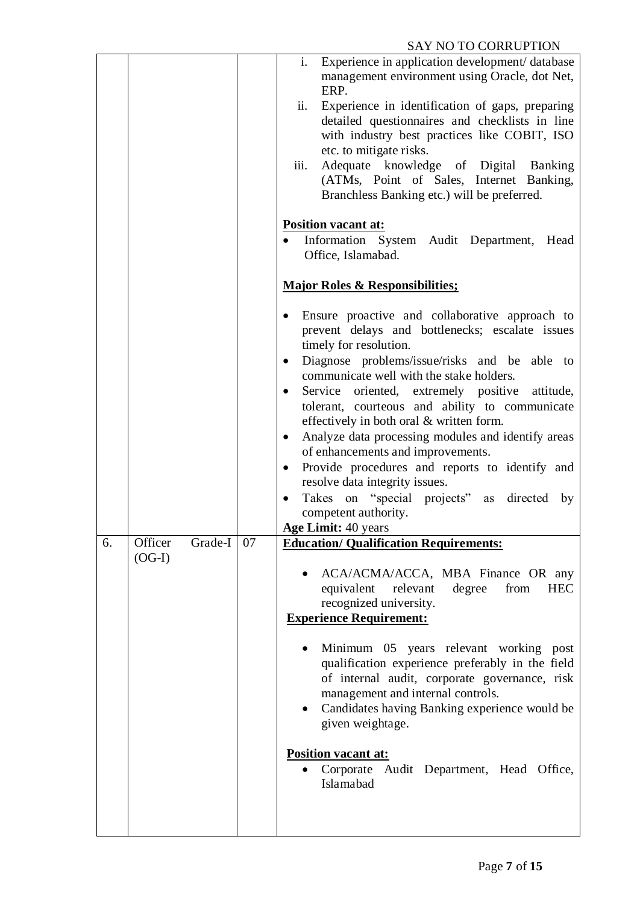|    |                    |    | SAT NU TU CURRUPTIUN                                                                              |
|----|--------------------|----|---------------------------------------------------------------------------------------------------|
|    |                    |    | Experience in application development/ database<br>i.                                             |
|    |                    |    | management environment using Oracle, dot Net,                                                     |
|    |                    |    | ERP.                                                                                              |
|    |                    |    | ii.<br>Experience in identification of gaps, preparing                                            |
|    |                    |    | detailed questionnaires and checklists in line                                                    |
|    |                    |    | with industry best practices like COBIT, ISO                                                      |
|    |                    |    | etc. to mitigate risks.                                                                           |
|    |                    |    | iii.<br>Adequate knowledge of Digital Banking                                                     |
|    |                    |    | (ATMs, Point of Sales, Internet Banking,                                                          |
|    |                    |    | Branchless Banking etc.) will be preferred.                                                       |
|    |                    |    |                                                                                                   |
|    |                    |    | <b>Position vacant at:</b>                                                                        |
|    |                    |    | Information System Audit Department, Head                                                         |
|    |                    |    | Office, Islamabad.                                                                                |
|    |                    |    |                                                                                                   |
|    |                    |    | <b>Major Roles &amp; Responsibilities;</b>                                                        |
|    |                    |    |                                                                                                   |
|    |                    |    |                                                                                                   |
|    |                    |    | Ensure proactive and collaborative approach to<br>prevent delays and bottlenecks; escalate issues |
|    |                    |    |                                                                                                   |
|    |                    |    | timely for resolution.                                                                            |
|    |                    |    | Diagnose problems/issue/risks and be able to<br>$\bullet$                                         |
|    |                    |    | communicate well with the stake holders.                                                          |
|    |                    |    | Service oriented, extremely positive attitude,<br>$\bullet$                                       |
|    |                    |    | tolerant, courteous and ability to communicate                                                    |
|    |                    |    | effectively in both oral & written form.                                                          |
|    |                    |    | Analyze data processing modules and identify areas<br>$\bullet$                                   |
|    |                    |    | of enhancements and improvements.                                                                 |
|    |                    |    | Provide procedures and reports to identify and<br>$\bullet$                                       |
|    |                    |    | resolve data integrity issues.                                                                    |
|    |                    |    | Takes on "special projects" as<br>directed<br>by<br>$\bullet$                                     |
|    |                    |    | competent authority.                                                                              |
|    |                    |    | <b>Age Limit: 40 years</b>                                                                        |
| 6. | Officer<br>Grade-I | 07 | <b>Education/ Qualification Requirements:</b>                                                     |
|    | $(OG-I)$           |    |                                                                                                   |
|    |                    |    | ACA/ACMA/ACCA, MBA Finance OR any                                                                 |
|    |                    |    | equivalent relevant<br>degree<br>from<br><b>HEC</b>                                               |
|    |                    |    | recognized university.                                                                            |
|    |                    |    | <b>Experience Requirement:</b>                                                                    |
|    |                    |    |                                                                                                   |
|    |                    |    | Minimum 05 years relevant working post                                                            |
|    |                    |    | qualification experience preferably in the field                                                  |
|    |                    |    |                                                                                                   |
|    |                    |    | of internal audit, corporate governance, risk                                                     |
|    |                    |    | management and internal controls.                                                                 |
|    |                    |    | Candidates having Banking experience would be                                                     |
|    |                    |    | given weightage.                                                                                  |
|    |                    |    |                                                                                                   |
|    |                    |    | Position vacant at:                                                                               |
|    |                    |    | Corporate Audit Department, Head Office,                                                          |
|    |                    |    | Islamabad                                                                                         |
|    |                    |    |                                                                                                   |
|    |                    |    |                                                                                                   |
|    |                    |    |                                                                                                   |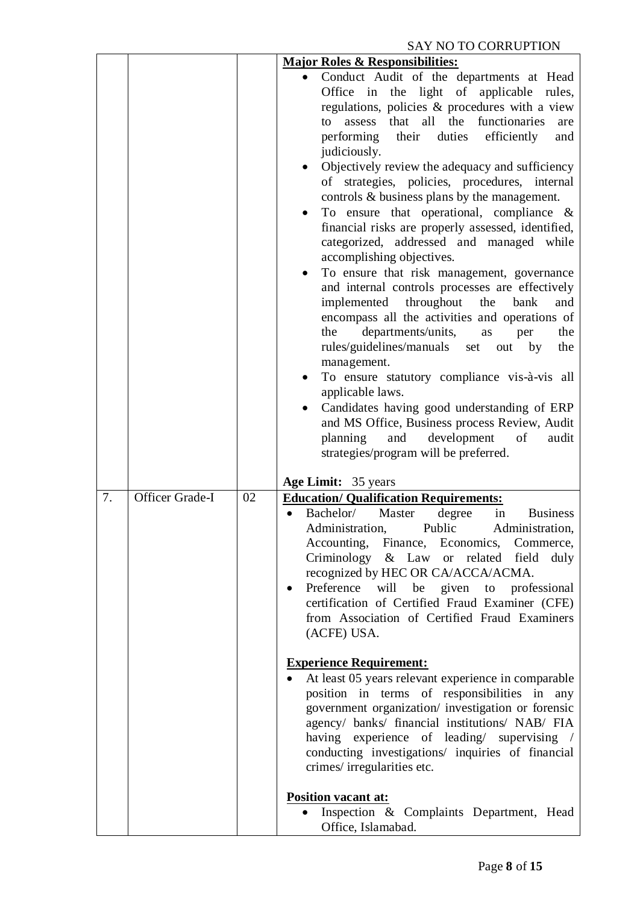|    |                 |    | <b>Major Roles &amp; Responsibilities:</b>                                                                                                                                                                                                                                                                                                                                                                                                                                                                                                                                                                                                                                                                                                                                                                                                                                                                                                                                                                                                                                                                                                                                                                                                   |
|----|-----------------|----|----------------------------------------------------------------------------------------------------------------------------------------------------------------------------------------------------------------------------------------------------------------------------------------------------------------------------------------------------------------------------------------------------------------------------------------------------------------------------------------------------------------------------------------------------------------------------------------------------------------------------------------------------------------------------------------------------------------------------------------------------------------------------------------------------------------------------------------------------------------------------------------------------------------------------------------------------------------------------------------------------------------------------------------------------------------------------------------------------------------------------------------------------------------------------------------------------------------------------------------------|
|    |                 |    | Conduct Audit of the departments at Head<br>Office in the light of applicable<br>rules,<br>regulations, policies & procedures with a view<br>all<br>functionaries<br>that<br>the<br>assess<br>to<br>are<br>performing<br>their<br>duties<br>efficiently<br>and<br>judiciously.<br>Objectively review the adequacy and sufficiency<br>of strategies, policies, procedures, internal<br>controls & business plans by the management.<br>To ensure that operational, compliance $\&$<br>$\bullet$<br>financial risks are properly assessed, identified,<br>categorized, addressed and managed<br>while<br>accomplishing objectives.<br>To ensure that risk management, governance<br>and internal controls processes are effectively<br>implemented throughout<br>the<br>bank<br>and<br>encompass all the activities and operations of<br>departments/units,<br>the<br>the<br>as<br>per<br>rules/guidelines/manuals<br>out by<br>the<br>set<br>management.<br>To ensure statutory compliance vis-à-vis all<br>applicable laws.<br>Candidates having good understanding of ERP<br>and MS Office, Business process Review, Audit<br>planning<br>and<br>development<br>of<br>audit<br>strategies/program will be preferred.<br>Age Limit: 35 years |
| 7. | Officer Grade-I | 02 | <b>Education/ Qualification Requirements:</b><br>Bachelor/<br>Master<br>degree<br>in<br><b>Business</b><br>Public<br>Administration,<br>Administration,<br>Accounting, Finance, Economics, Commerce,<br>Criminology & Law or related field duly<br>recognized by HEC OR CA/ACCA/ACMA.<br>Preference<br>will<br>be<br>given<br>professional<br>to<br>certification of Certified Fraud Examiner (CFE)<br>from Association of Certified Fraud Examiners<br>(ACFE) USA.<br><b>Experience Requirement:</b><br>At least 05 years relevant experience in comparable<br>position in terms of responsibilities in<br>any<br>government organization/ investigation or forensic<br>agency/ banks/ financial institutions/ NAB/ FIA<br>having experience of leading/ supervising /<br>conducting investigations/ inquiries of financial<br>crimes/irregularities etc.<br><b>Position vacant at:</b><br>Inspection & Complaints Department, Head                                                                                                                                                                                                                                                                                                         |
|    |                 |    | Office, Islamabad.                                                                                                                                                                                                                                                                                                                                                                                                                                                                                                                                                                                                                                                                                                                                                                                                                                                                                                                                                                                                                                                                                                                                                                                                                           |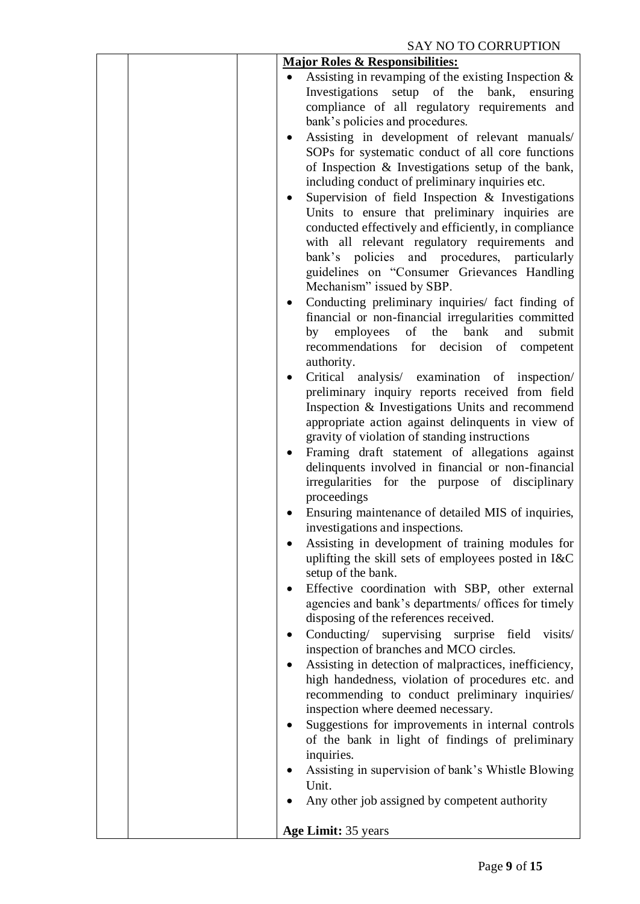| <b>Major Roles &amp; Responsibilities:</b>                                                                      |
|-----------------------------------------------------------------------------------------------------------------|
| Assisting in revamping of the existing Inspection $\&$                                                          |
| Investigations<br>setup of the<br>bank,<br>ensuring                                                             |
| compliance of all regulatory requirements and                                                                   |
| bank's policies and procedures.                                                                                 |
| Assisting in development of relevant manuals/<br>$\bullet$                                                      |
| SOPs for systematic conduct of all core functions                                                               |
| of Inspection & Investigations setup of the bank,                                                               |
| including conduct of preliminary inquiries etc.                                                                 |
| Supervision of field Inspection & Investigations<br>$\bullet$<br>Units to ensure that preliminary inquiries are |
| conducted effectively and efficiently, in compliance                                                            |
| with all relevant regulatory requirements and                                                                   |
| bank's policies and procedures, particularly                                                                    |
| guidelines on "Consumer Grievances Handling                                                                     |
| Mechanism" issued by SBP.                                                                                       |
| Conducting preliminary inquiries/ fact finding of<br>٠                                                          |
| financial or non-financial irregularities committed                                                             |
| employees<br>of the bank<br>by<br>and<br>submit                                                                 |
| recommendations for decision of competent                                                                       |
| authority.                                                                                                      |
| Critical analysis/ examination of inspection/                                                                   |
| preliminary inquiry reports received from field                                                                 |
| Inspection & Investigations Units and recommend                                                                 |
| appropriate action against delinquents in view of<br>gravity of violation of standing instructions              |
| Framing draft statement of allegations against<br>$\bullet$                                                     |
| delinquents involved in financial or non-financial                                                              |
| irregularities for the purpose of disciplinary                                                                  |
| proceedings                                                                                                     |
| Ensuring maintenance of detailed MIS of inquiries,                                                              |
| investigations and inspections.                                                                                 |
| Assisting in development of training modules for                                                                |
| uplifting the skill sets of employees posted in I&C                                                             |
| setup of the bank.                                                                                              |
| Effective coordination with SBP, other external<br>٠                                                            |
| agencies and bank's departments/ offices for timely<br>disposing of the references received.                    |
| Conducting/ supervising surprise field<br>visits/<br>٠                                                          |
| inspection of branches and MCO circles.                                                                         |
| Assisting in detection of malpractices, inefficiency,<br>٠                                                      |
| high handedness, violation of procedures etc. and                                                               |
| recommending to conduct preliminary inquiries/                                                                  |
| inspection where deemed necessary.                                                                              |
| Suggestions for improvements in internal controls                                                               |
| of the bank in light of findings of preliminary                                                                 |
| inquiries.                                                                                                      |
| Assisting in supervision of bank's Whistle Blowing                                                              |
| Unit.                                                                                                           |
| Any other job assigned by competent authority                                                                   |
| Age Limit: 35 years                                                                                             |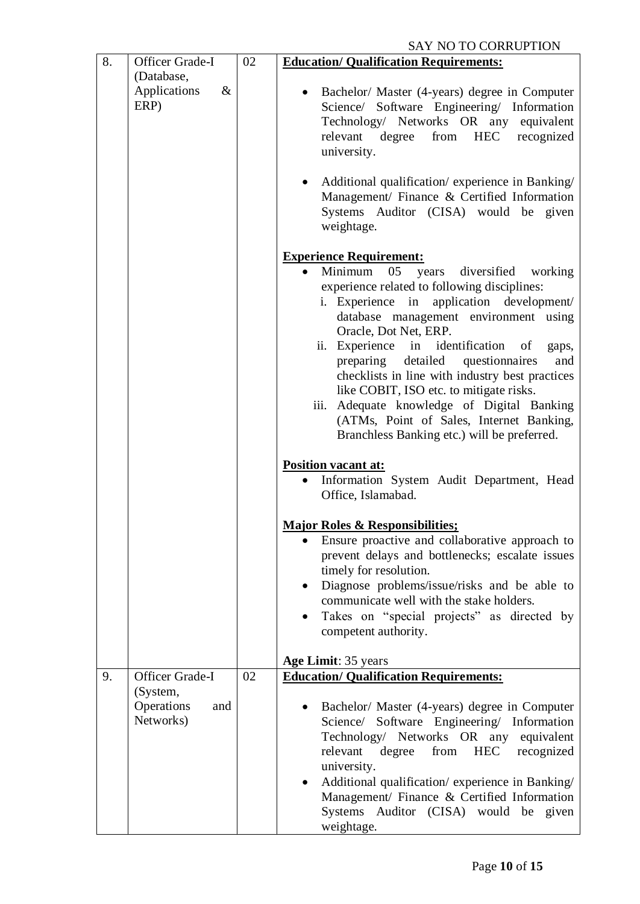| 8. | Officer Grade-I                            | 02 | <b>DAT TO TO COMACT TION</b><br><b>Education/ Qualification Requirements:</b>                                                                                                                                                                                                                                                                                                                                                                                                                                                          |
|----|--------------------------------------------|----|----------------------------------------------------------------------------------------------------------------------------------------------------------------------------------------------------------------------------------------------------------------------------------------------------------------------------------------------------------------------------------------------------------------------------------------------------------------------------------------------------------------------------------------|
|    | (Database,                                 |    |                                                                                                                                                                                                                                                                                                                                                                                                                                                                                                                                        |
|    | Applications<br>$\&$<br>ERP)               |    | Bachelor/ Master (4-years) degree in Computer<br>Science/ Software Engineering/ Information<br>Technology/ Networks OR any equivalent<br>degree from HEC recognized<br>relevant<br>university.                                                                                                                                                                                                                                                                                                                                         |
|    |                                            |    | Additional qualification/experience in Banking/<br>Management/ Finance & Certified Information<br>Systems Auditor (CISA) would be given<br>weightage.                                                                                                                                                                                                                                                                                                                                                                                  |
|    |                                            |    | <b>Experience Requirement:</b>                                                                                                                                                                                                                                                                                                                                                                                                                                                                                                         |
|    |                                            |    | Minimum 05 years diversified working<br>experience related to following disciplines:<br>i. Experience in application development/<br>database management environment using<br>Oracle, Dot Net, ERP.<br>ii. Experience in identification of<br>gaps,<br>preparing detailed questionnaires<br>and<br>checklists in line with industry best practices<br>like COBIT, ISO etc. to mitigate risks.<br>iii. Adequate knowledge of Digital Banking<br>(ATMs, Point of Sales, Internet Banking,<br>Branchless Banking etc.) will be preferred. |
|    |                                            |    |                                                                                                                                                                                                                                                                                                                                                                                                                                                                                                                                        |
|    |                                            |    | Position vacant at:<br>Information System Audit Department, Head<br>Office, Islamabad.                                                                                                                                                                                                                                                                                                                                                                                                                                                 |
|    |                                            |    | <b>Major Roles &amp; Responsibilities;</b><br>Ensure proactive and collaborative approach to<br>$\bullet$<br>prevent delays and bottlenecks; escalate issues<br>timely for resolution.<br>Diagnose problems/issue/risks and be able to<br>$\bullet$<br>communicate well with the stake holders.<br>Takes on "special projects" as directed by<br>competent authority.                                                                                                                                                                  |
|    |                                            |    | Age Limit: 35 years                                                                                                                                                                                                                                                                                                                                                                                                                                                                                                                    |
| 9. | Officer Grade-I                            | 02 | <b>Education/ Qualification Requirements:</b>                                                                                                                                                                                                                                                                                                                                                                                                                                                                                          |
|    | (System,<br>Operations<br>and<br>Networks) |    | Bachelor/ Master (4-years) degree in Computer<br>Science/ Software Engineering/ Information<br>Technology/ Networks OR any equivalent<br>from<br>HEC<br>relevant<br>degree<br>recognized<br>university.<br>Additional qualification/experience in Banking/<br>Management/ Finance & Certified Information<br>Systems Auditor (CISA) would be given<br>weightage.                                                                                                                                                                       |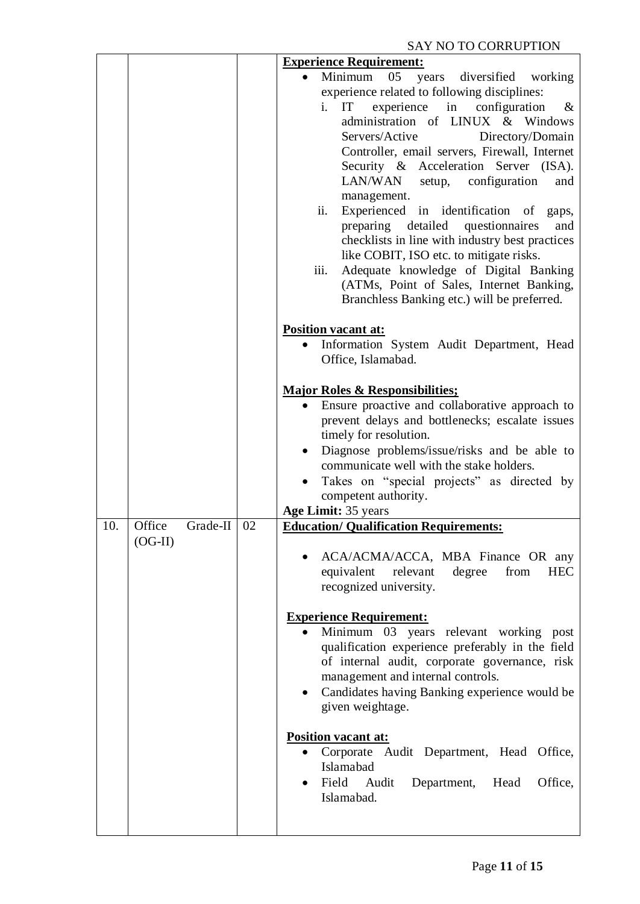| 10. | Office<br>Grade-II<br>$(OG-II)$ | 02 | <b>Experience Requirement:</b><br>Minimum<br>05<br>years diversified working<br>experience related to following disciplines:<br>i. IT experience in configuration<br>$\&$<br>administration of LINUX & Windows<br>Servers/Active<br>Directory/Domain<br>Controller, email servers, Firewall, Internet<br>Security & Acceleration Server (ISA).<br>LAN/WAN setup, configuration<br>and<br>management.<br>Experienced in identification of<br>ii.<br>gaps,<br>preparing detailed questionnaires<br>and<br>checklists in line with industry best practices<br>like COBIT, ISO etc. to mitigate risks.<br>Adequate knowledge of Digital Banking<br>iii.<br>(ATMs, Point of Sales, Internet Banking,<br>Branchless Banking etc.) will be preferred.<br><b>Position vacant at:</b><br>Information System Audit Department, Head<br>Office, Islamabad.<br><b>Major Roles &amp; Responsibilities;</b><br>Ensure proactive and collaborative approach to<br>prevent delays and bottlenecks; escalate issues<br>timely for resolution.<br>Diagnose problems/issue/risks and be able to<br>$\bullet$<br>communicate well with the stake holders.<br>Takes on "special projects" as directed by<br>competent authority.<br>Age Limit: 35 years<br><b>Education/ Qualification Requirements:</b><br>ACA/ACMA/ACCA, MBA Finance OR any<br>equivalent<br>relevant<br>degree<br>from<br><b>HEC</b><br>recognized university.<br><b>Experience Requirement:</b><br>Minimum 03 years relevant working<br>post<br>qualification experience preferably in the field<br>of internal audit, corporate governance, risk<br>management and internal controls.<br>Candidates having Banking experience would be<br>$\bullet$<br>given weightage.<br><b>Position vacant at:</b><br>Corporate Audit Department, Head Office,<br>Islamabad<br>Field Audit<br>Department,<br>Head<br>Office,<br>Islamabad. |
|-----|---------------------------------|----|-------------------------------------------------------------------------------------------------------------------------------------------------------------------------------------------------------------------------------------------------------------------------------------------------------------------------------------------------------------------------------------------------------------------------------------------------------------------------------------------------------------------------------------------------------------------------------------------------------------------------------------------------------------------------------------------------------------------------------------------------------------------------------------------------------------------------------------------------------------------------------------------------------------------------------------------------------------------------------------------------------------------------------------------------------------------------------------------------------------------------------------------------------------------------------------------------------------------------------------------------------------------------------------------------------------------------------------------------------------------------------------------------------------------------------------------------------------------------------------------------------------------------------------------------------------------------------------------------------------------------------------------------------------------------------------------------------------------------------------------------------------------------------------------------------------------------------------------------------------------------------|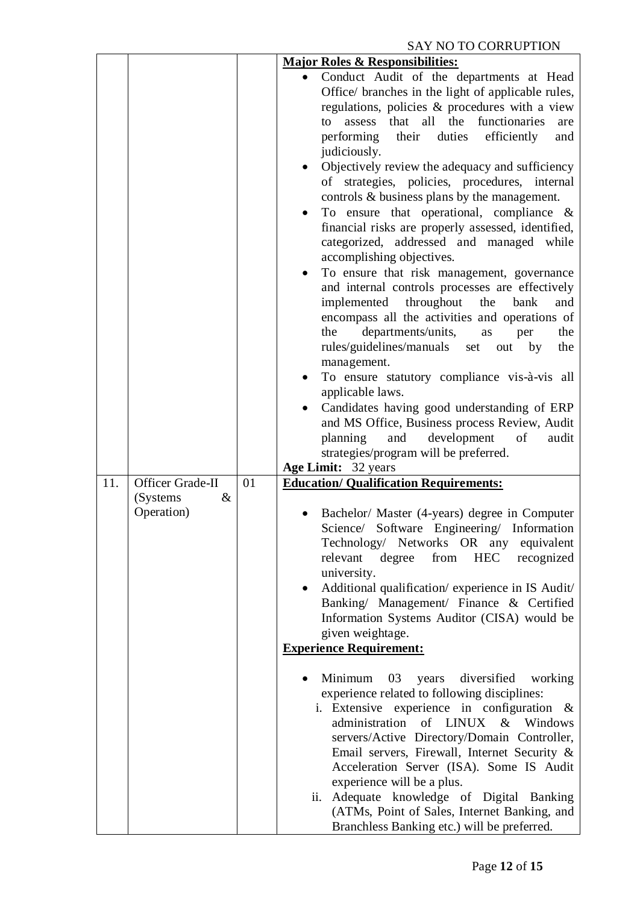| <b>Major Roles &amp; Responsibilities:</b><br>Conduct Audit of the departments at Head<br>Office/ branches in the light of applicable rules,<br>regulations, policies & procedures with a view<br>that all<br>the<br>functionaries<br>to                                                                                                                                                                                                                                                                                                                                                                                                                                                                                                                                                                                                                                                                                                                                                                                           |
|------------------------------------------------------------------------------------------------------------------------------------------------------------------------------------------------------------------------------------------------------------------------------------------------------------------------------------------------------------------------------------------------------------------------------------------------------------------------------------------------------------------------------------------------------------------------------------------------------------------------------------------------------------------------------------------------------------------------------------------------------------------------------------------------------------------------------------------------------------------------------------------------------------------------------------------------------------------------------------------------------------------------------------|
| assess<br>are<br>their<br>performing<br>duties<br>efficiently<br>and<br>judiciously.<br>Objectively review the adequacy and sufficiency<br>of strategies, policies, procedures, internal<br>controls & business plans by the management.<br>To ensure that operational, compliance $\&$<br>financial risks are properly assessed, identified,<br>categorized, addressed and managed while<br>accomplishing objectives.<br>To ensure that risk management, governance<br>and internal controls processes are effectively<br>implemented<br>throughout<br>bank<br>the<br>and<br>encompass all the activities and operations of<br>departments/units,<br>the<br>the<br>as<br>per<br>rules/guidelines/manuals set<br>out by<br>the<br>management.<br>To ensure statutory compliance vis-à-vis all<br>applicable laws.<br>Candidates having good understanding of ERP<br>and MS Office, Business process Review, Audit<br>and<br>development<br>planning<br>of<br>audit<br>strategies/program will be preferred.<br>Age Limit: 32 years |
| <b>Education/ Qualification Requirements:</b>                                                                                                                                                                                                                                                                                                                                                                                                                                                                                                                                                                                                                                                                                                                                                                                                                                                                                                                                                                                      |
| Bachelor/ Master (4-years) degree in Computer<br>Science/ Software Engineering/ Information<br>Technology/ Networks OR any equivalent<br><b>HEC</b><br>relevant<br>degree<br>from<br>recognized<br>university.<br>Additional qualification/experience in IS Audit/<br>Banking/ Management/ Finance & Certified<br>Information Systems Auditor (CISA) would be<br>given weightage.<br><b>Experience Requirement:</b><br>Minimum<br>03<br>diversified<br>working<br>years<br>experience related to following disciplines:<br>i. Extensive experience in configuration &<br>administration<br>of LINUX<br>$\&$<br>Windows<br>servers/Active Directory/Domain Controller,<br>Email servers, Firewall, Internet Security &<br>Acceleration Server (ISA). Some IS Audit<br>experience will be a plus.<br>Adequate knowledge of Digital Banking<br>ii.<br>(ATMs, Point of Sales, Internet Banking, and                                                                                                                                    |
| 01                                                                                                                                                                                                                                                                                                                                                                                                                                                                                                                                                                                                                                                                                                                                                                                                                                                                                                                                                                                                                                 |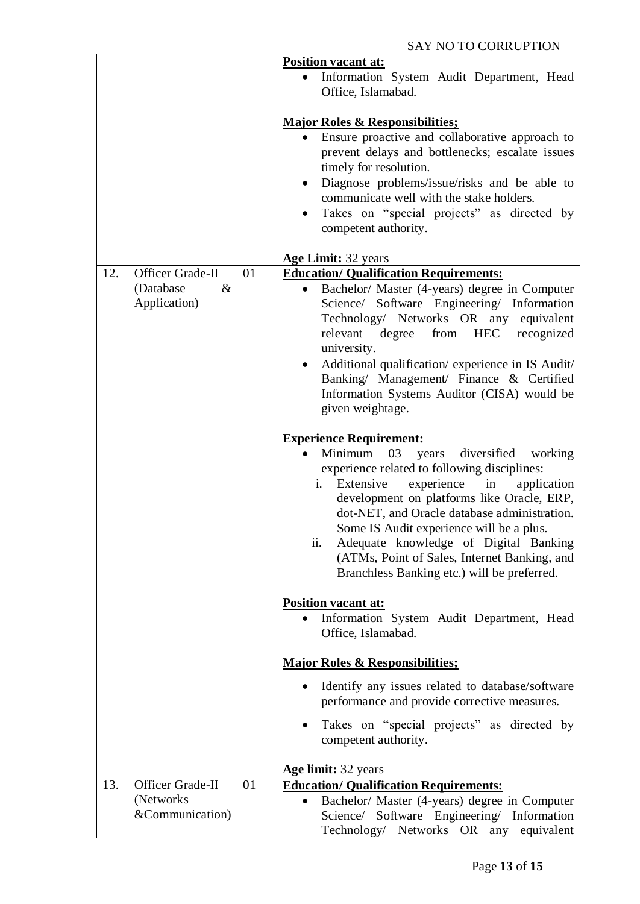|     |                                                       |    | <b>Position vacant at:</b>                                                                                                                                                                                                                                                                                                                                                                                                          |
|-----|-------------------------------------------------------|----|-------------------------------------------------------------------------------------------------------------------------------------------------------------------------------------------------------------------------------------------------------------------------------------------------------------------------------------------------------------------------------------------------------------------------------------|
|     |                                                       |    | Information System Audit Department, Head<br>Office, Islamabad.                                                                                                                                                                                                                                                                                                                                                                     |
|     |                                                       |    | <b>Major Roles &amp; Responsibilities;</b><br>Ensure proactive and collaborative approach to<br>$\bullet$<br>prevent delays and bottlenecks; escalate issues<br>timely for resolution.<br>Diagnose problems/issue/risks and be able to<br>$\bullet$<br>communicate well with the stake holders.<br>Takes on "special projects" as directed by<br>competent authority.                                                               |
|     |                                                       |    | Age Limit: 32 years                                                                                                                                                                                                                                                                                                                                                                                                                 |
| 12. | Officer Grade-II<br>(Database<br>$\&$<br>Application) | 01 | <b>Education/ Qualification Requirements:</b><br>Bachelor/ Master (4-years) degree in Computer<br>Science/ Software Engineering/ Information<br>Technology/ Networks OR any equivalent<br>from<br><b>HEC</b><br>relevant<br>degree<br>recognized<br>university.<br>Additional qualification/ experience in IS Audit/<br>Banking/ Management/ Finance & Certified<br>Information Systems Auditor (CISA) would be<br>given weightage. |
|     |                                                       |    | <b>Experience Requirement:</b><br>Minimum<br>03<br>years<br>diversified<br>working<br>experience related to following disciplines:<br>Extensive<br>experience<br>in<br>application<br>i.<br>development on platforms like Oracle, ERP,<br>dot-NET, and Oracle database administration.<br>Some IS Audit experience will be a plus.<br>Adequate knowledge of Digital Banking<br>ii.                                                  |
|     |                                                       |    | (ATMs, Point of Sales, Internet Banking, and<br>Branchless Banking etc.) will be preferred.                                                                                                                                                                                                                                                                                                                                         |
|     |                                                       |    | <b>Position vacant at:</b><br>Information System Audit Department, Head<br>Office, Islamabad.                                                                                                                                                                                                                                                                                                                                       |
|     |                                                       |    | <b>Major Roles &amp; Responsibilities;</b>                                                                                                                                                                                                                                                                                                                                                                                          |
|     |                                                       |    | Identify any issues related to database/software<br>$\bullet$<br>performance and provide corrective measures.                                                                                                                                                                                                                                                                                                                       |
|     |                                                       |    | Takes on "special projects" as directed by<br>competent authority.                                                                                                                                                                                                                                                                                                                                                                  |
|     |                                                       |    | Age limit: 32 years                                                                                                                                                                                                                                                                                                                                                                                                                 |
| 13. | Officer Grade-II<br>(Networks)<br>&Communication)     | 01 | <b>Education/ Qualification Requirements:</b><br>Bachelor/ Master (4-years) degree in Computer<br>Science/ Software Engineering/ Information<br>Technology/ Networks OR any equivalent                                                                                                                                                                                                                                              |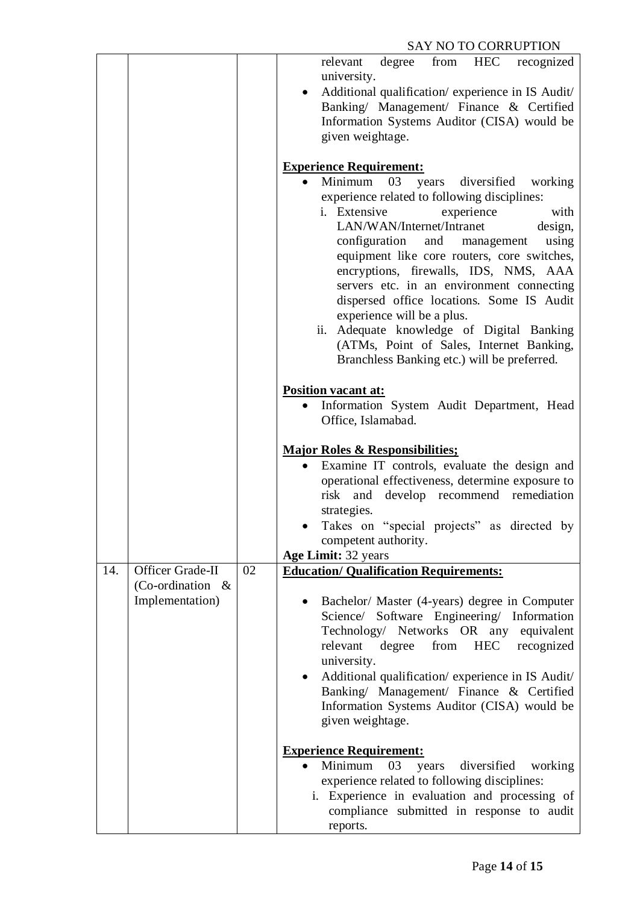|     |                                         |    | from HEC recognized<br>relevant<br>degree                                          |
|-----|-----------------------------------------|----|------------------------------------------------------------------------------------|
|     |                                         |    | university.                                                                        |
|     |                                         |    | Additional qualification/experience in IS Audit/                                   |
|     |                                         |    |                                                                                    |
|     |                                         |    | Banking/ Management/ Finance & Certified                                           |
|     |                                         |    | Information Systems Auditor (CISA) would be                                        |
|     |                                         |    | given weightage.                                                                   |
|     |                                         |    | <b>Experience Requirement:</b>                                                     |
|     |                                         |    | Minimum<br>03<br>diversified<br>working<br>years                                   |
|     |                                         |    | experience related to following disciplines:                                       |
|     |                                         |    | i. Extensive<br>experience<br>with                                                 |
|     |                                         |    | LAN/WAN/Internet/Intranet<br>design,                                               |
|     |                                         |    | and management<br>configuration<br>using                                           |
|     |                                         |    | equipment like core routers, core switches,                                        |
|     |                                         |    | encryptions, firewalls, IDS, NMS, AAA                                              |
|     |                                         |    | servers etc. in an environment connecting                                          |
|     |                                         |    | dispersed office locations. Some IS Audit                                          |
|     |                                         |    | experience will be a plus.                                                         |
|     |                                         |    | ii. Adequate knowledge of Digital Banking                                          |
|     |                                         |    | (ATMs, Point of Sales, Internet Banking,                                           |
|     |                                         |    | Branchless Banking etc.) will be preferred.                                        |
|     |                                         |    | Position vacant at:                                                                |
|     |                                         |    | Information System Audit Department, Head                                          |
|     |                                         |    | Office, Islamabad.                                                                 |
|     |                                         |    |                                                                                    |
|     |                                         |    | <b>Major Roles &amp; Responsibilities;</b>                                         |
|     |                                         |    | Examine IT controls, evaluate the design and                                       |
|     |                                         |    | operational effectiveness, determine exposure to                                   |
|     |                                         |    | develop recommend remediation<br>risk<br>and                                       |
|     |                                         |    | strategies.                                                                        |
|     |                                         |    | Takes on "special projects" as directed by                                         |
|     |                                         |    | competent authority.                                                               |
|     |                                         |    | Age Limit: 32 years                                                                |
| 14. | Officer Grade-II<br>(Co-ordination $\&$ | 02 | <b>Education/ Qualification Requirements:</b>                                      |
|     | Implementation)                         |    | Bachelor/ Master (4-years) degree in Computer                                      |
|     |                                         |    | Science/ Software Engineering/ Information                                         |
|     |                                         |    | Technology/ Networks OR any equivalent                                             |
|     |                                         |    | relevant<br>degree from HEC recognized                                             |
|     |                                         |    | university.                                                                        |
|     |                                         |    | Additional qualification/ experience in IS Audit/                                  |
|     |                                         |    | Banking/ Management/ Finance & Certified                                           |
|     |                                         |    | Information Systems Auditor (CISA) would be                                        |
|     |                                         |    | given weightage.                                                                   |
|     |                                         |    |                                                                                    |
|     |                                         |    | <b>Experience Requirement:</b><br>Minimum<br>03<br>diversified<br>years<br>working |
|     |                                         |    | experience related to following disciplines:                                       |
|     |                                         |    | i. Experience in evaluation and processing of                                      |
|     |                                         |    | compliance submitted in response to audit                                          |
|     |                                         |    | reports.                                                                           |